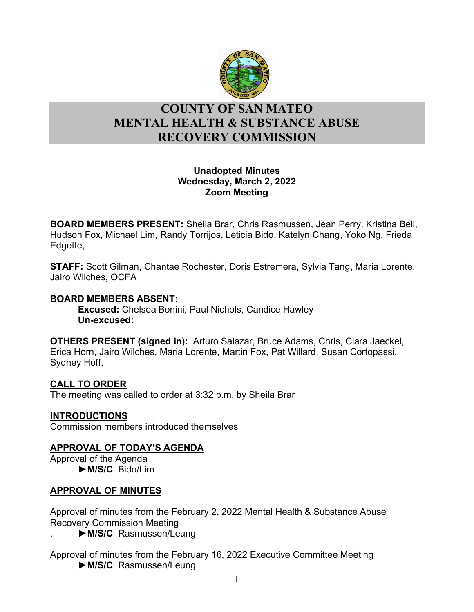

# l **COUNTY OF SAN MATEO MENTAL HEALTH & SUBSTANCE ABUSE RECOVERY COMMISSION**

## **Unadopted Minutes Wednesday, March 2, 2022 Zoom Meeting**

**BOARD MEMBERS PRESENT:** Sheila Brar, Chris Rasmussen, Jean Perry, Kristina Bell, Hudson Fox, Michael Lim, Randy Torrijos, Leticia Bido, Katelyn Chang, Yoko Ng, Frieda Edgette,

**STAFF:** Scott Gilman, Chantae Rochester, Doris Estremera, Sylvia Tang, Maria Lorente, Jairo Wilches, OCFA

### **BOARD MEMBERS ABSENT:**

**Excused:** Chelsea Bonini, Paul Nichols, Candice Hawley **Un-excused:** 

**OTHERS PRESENT (signed in):** Arturo Salazar, Bruce Adams, Chris, Clara Jaeckel, Erica Horn, Jairo Wilches, Maria Lorente, Martin Fox, Pat Willard, Susan Cortopassi, Sydney Hoff,

#### **CALL TO ORDER**

The meeting was called to order at 3:32 p.m. by Sheila Brar

#### **INTRODUCTIONS**

Commission members introduced themselves

## **APPROVAL OF TODAY'S AGENDA**

Approval of the Agenda ►**M/S/C** Bido/Lim

## **APPROVAL OF MINUTES**

Approval of minutes from the February 2, 2022 Mental Health & Substance Abuse Recovery Commission Meeting

. ►**M/S/C** Rasmussen/Leung

Approval of minutes from the February 16, 2022 Executive Committee Meeting ►**M/S/C** Rasmussen/Leung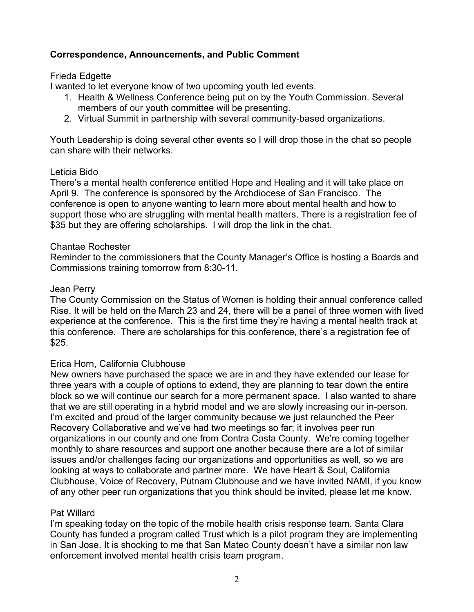## **Correspondence, Announcements, and Public Comment**

### Frieda Edgette

I wanted to let everyone know of two upcoming youth led events.

- 1. Health & Wellness Conference being put on by the Youth Commission. Several members of our youth committee will be presenting.
- 2. Virtual Summit in partnership with several community-based organizations.

Youth Leadership is doing several other events so I will drop those in the chat so people can share with their networks.

#### Leticia Bido

There's a mental health conference entitled Hope and Healing and it will take place on April 9. The conference is sponsored by the Archdiocese of San Francisco. The conference is open to anyone wanting to learn more about mental health and how to support those who are struggling with mental health matters. There is a registration fee of \$35 but they are offering scholarships. I will drop the link in the chat.

#### Chantae Rochester

Reminder to the commissioners that the County Manager's Office is hosting a Boards and Commissions training tomorrow from 8:30-11.

### Jean Perry

The County Commission on the Status of Women is holding their annual conference called Rise. It will be held on the March 23 and 24, there will be a panel of three women with lived experience at the conference. This is the first time they're having a mental health track at this conference. There are scholarships for this conference, there's a registration fee of \$25.

## Erica Horn, California Clubhouse

New owners have purchased the space we are in and they have extended our lease for three years with a couple of options to extend, they are planning to tear down the entire block so we will continue our search for a more permanent space. I also wanted to share that we are still operating in a hybrid model and we are slowly increasing our in-person. I'm excited and proud of the larger community because we just relaunched the Peer Recovery Collaborative and we've had two meetings so far; it involves peer run organizations in our county and one from Contra Costa County. We're coming together monthly to share resources and support one another because there are a lot of similar issues and/or challenges facing our organizations and opportunities as well, so we are looking at ways to collaborate and partner more. We have Heart & Soul, California Clubhouse, Voice of Recovery, Putnam Clubhouse and we have invited NAMI, if you know of any other peer run organizations that you think should be invited, please let me know.

#### Pat Willard

I'm speaking today on the topic of the mobile health crisis response team. Santa Clara County has funded a program called Trust which is a pilot program they are implementing in San Jose. It is shocking to me that San Mateo County doesn't have a similar non law enforcement involved mental health crisis team program.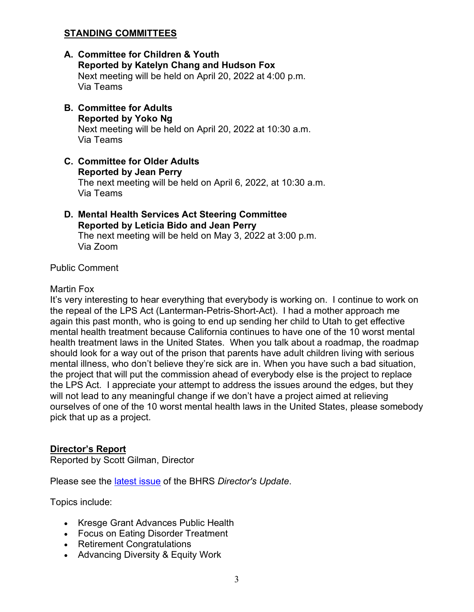## **STANDING COMMITTEES**

- **A. Committee for Children & Youth Reported by Katelyn Chang and Hudson Fox** Next meeting will be held on April 20, 2022 at 4:00 p.m. Via Teams
- **B. Committee for Adults Reported by Yoko Ng** Next meeting will be held on April 20, 2022 at 10:30 a.m. Via Teams
- **C. Committee for Older Adults Reported by Jean Perry** The next meeting will be held on April 6, 2022, at 10:30 a.m. Via Teams
- **D. Mental Health Services Act Steering Committee Reported by Leticia Bido and Jean Perry** The next meeting will be held on May 3, 2022 at 3:00 p.m. Via Zoom

Public Comment

#### Martin Fox

It's very interesting to hear everything that everybody is working on. I continue to work on the repeal of the LPS Act (Lanterman-Petris-Short-Act). I had a mother approach me again this past month, who is going to end up sending her child to Utah to get effective mental health treatment because California continues to have one of the 10 worst mental health treatment laws in the United States. When you talk about a roadmap, the roadmap should look for a way out of the prison that parents have adult children living with serious mental illness, who don't believe they're sick are in. When you have such a bad situation, the project that will put the commission ahead of everybody else is the project to replace the LPS Act. I appreciate your attempt to address the issues around the edges, but they will not lead to any meaningful change if we don't have a project aimed at relieving ourselves of one of the 10 worst mental health laws in the United States, please somebody pick that up as a project.

#### **Director's Report**

Reported by Scott Gilman, Director

Please see the [latest issue](https://www.smchealth.org/sites/main/files/file-attachments/directors_update_march_2022.pdf?1645636929) of the BHRS *Director's Update*.

Topics include:

- Kresge Grant Advances Public Health
- Focus on Eating Disorder Treatment
- Retirement Congratulations
- Advancing Diversity & Equity Work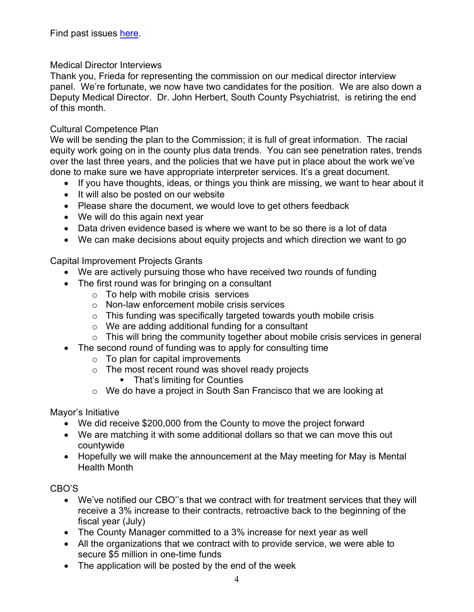## Medical Director Interviews

Thank you, Frieda for representing the commission on our medical director interview panel. We're fortunate, we now have two candidates for the position. We are also down a Deputy Medical Director. Dr. John Herbert, South County Psychiatrist, is retiring the end of this month.

### Cultural Competence Plan

We will be sending the plan to the Commission; it is full of great information. The racial equity work going on in the county plus data trends. You can see penetration rates, trends over the last three years, and the policies that we have put in place about the work we've done to make sure we have appropriate interpreter services. It's a great document.

- If you have thoughts, ideas, or things you think are missing, we want to hear about it
- It will also be posted on our website
- Please share the document, we would love to get others feedback
- We will do this again next year
- Data driven evidence based is where we want to be so there is a lot of data
- We can make decisions about equity projects and which direction we want to go

Capital Improvement Projects Grants

- We are actively pursuing those who have received two rounds of funding
- The first round was for bringing on a consultant
	- $\circ$  To help with mobile crisis services
	- o Non-law enforcement mobile crisis services
	- $\circ$  This funding was specifically targeted towards youth mobile crisis
	- o We are adding additional funding for a consultant
	- $\circ$  This will bring the community together about mobile crisis services in general
- The second round of funding was to apply for consulting time
	- $\circ$  To plan for capital improvements
	- $\circ$  The most recent round was shovel ready projects
		- **That's limiting for Counties**
	- o We do have a project in South San Francisco that we are looking at

Mayor's Initiative

- We did receive \$200,000 from the County to move the project forward
- We are matching it with some additional dollars so that we can move this out countywide
- Hopefully we will make the announcement at the May meeting for May is Mental Health Month

CBO'S

- We've notified our CBO''s that we contract with for treatment services that they will receive a 3% increase to their contracts, retroactive back to the beginning of the fiscal year (July)
- The County Manager committed to a 3% increase for next year as well
- All the organizations that we contract with to provide service, we were able to secure \$5 million in one-time funds
- The application will be posted by the end of the week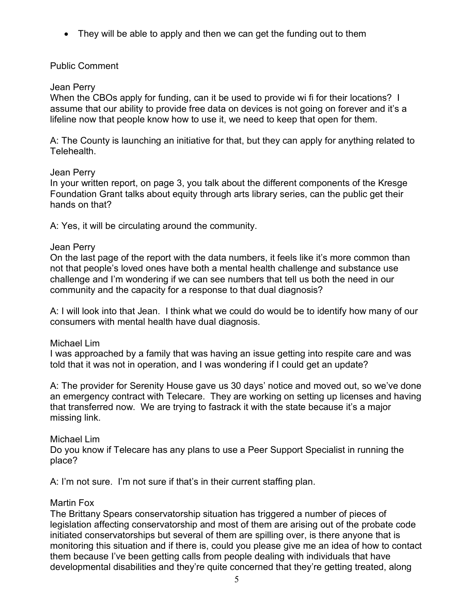• They will be able to apply and then we can get the funding out to them

## Public Comment

#### Jean Perry

When the CBOs apply for funding, can it be used to provide wi fi for their locations? I assume that our ability to provide free data on devices is not going on forever and it's a lifeline now that people know how to use it, we need to keep that open for them.

A: The County is launching an initiative for that, but they can apply for anything related to Telehealth.

#### Jean Perry

In your written report, on page 3, you talk about the different components of the Kresge Foundation Grant talks about equity through arts library series, can the public get their hands on that?

A: Yes, it will be circulating around the community.

### Jean Perry

On the last page of the report with the data numbers, it feels like it's more common than not that people's loved ones have both a mental health challenge and substance use challenge and I'm wondering if we can see numbers that tell us both the need in our community and the capacity for a response to that dual diagnosis?

A: I will look into that Jean. I think what we could do would be to identify how many of our consumers with mental health have dual diagnosis.

#### Michael Lim

I was approached by a family that was having an issue getting into respite care and was told that it was not in operation, and I was wondering if I could get an update?

A: The provider for Serenity House gave us 30 days' notice and moved out, so we've done an emergency contract with Telecare. They are working on setting up licenses and having that transferred now. We are trying to fastrack it with the state because it's a major missing link.

## Michael Lim

Do you know if Telecare has any plans to use a Peer Support Specialist in running the place?

A: I'm not sure. I'm not sure if that's in their current staffing plan.

#### Martin Fox

The Brittany Spears conservatorship situation has triggered a number of pieces of legislation affecting conservatorship and most of them are arising out of the probate code initiated conservatorships but several of them are spilling over, is there anyone that is monitoring this situation and if there is, could you please give me an idea of how to contact them because I've been getting calls from people dealing with individuals that have developmental disabilities and they're quite concerned that they're getting treated, along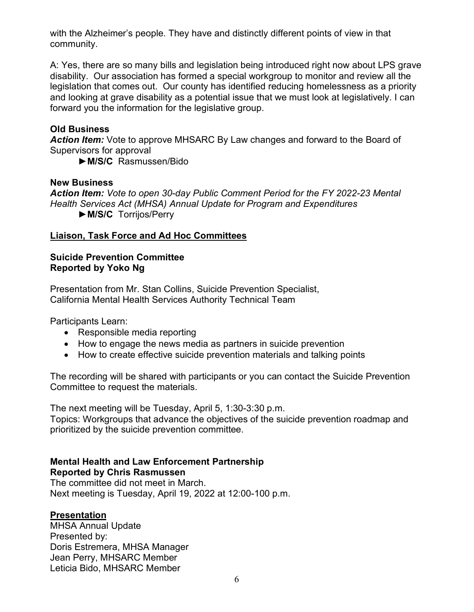with the Alzheimer's people. They have and distinctly different points of view in that community.

A: Yes, there are so many bills and legislation being introduced right now about LPS grave disability. Our association has formed a special workgroup to monitor and review all the legislation that comes out. Our county has identified reducing homelessness as a priority and looking at grave disability as a potential issue that we must look at legislatively. I can forward you the information for the legislative group.

#### **Old Business**

*Action Item:* Vote to approve MHSARC By Law changes and forward to the Board of Supervisors for approval

►**M/S/C** Rasmussen/Bido

#### **New Business**

*Action Item: Vote to open 30-day Public Comment Period for the FY 2022-23 Mental Health Services Act (MHSA) Annual Update for Program and Expenditures* ►**M/S/C** Torrijos/Perry

## **Liaison, Task Force and Ad Hoc Committees**

### **Suicide Prevention Committee Reported by Yoko Ng**

Presentation from Mr. Stan Collins, Suicide Prevention Specialist, California Mental Health Services Authority Technical Team

Participants Learn:

- Responsible media reporting
- How to engage the news media as partners in suicide prevention
- How to create effective suicide prevention materials and talking points

The recording will be shared with participants or you can contact the Suicide Prevention Committee to request the materials.

The next meeting will be Tuesday, April 5, 1:30-3:30 p.m. Topics: Workgroups that advance the objectives of the suicide prevention roadmap and

prioritized by the suicide prevention committee.

## **Mental Health and Law Enforcement Partnership Reported by Chris Rasmussen**

The committee did not meet in March. Next meeting is Tuesday, April 19, 2022 at 12:00-100 p.m.

#### **Presentation**

MHSA Annual Update Presented by: Doris Estremera, MHSA Manager Jean Perry, MHSARC Member Leticia Bido, MHSARC Member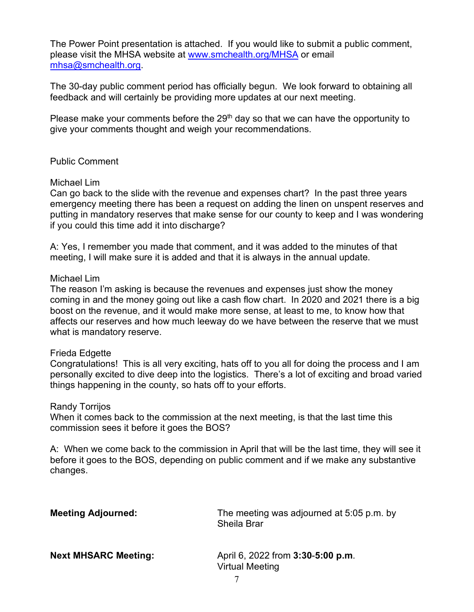The Power Point presentation is attached. If you would like to submit a public comment, please visit the MHSA website at [www.smchealth.org/MHSA](http://www.smchealth.org/MHSA) or email [mhsa@smchealth.org.](mailto:mhsa@smchealth.org)

The 30-day public comment period has officially begun. We look forward to obtaining all feedback and will certainly be providing more updates at our next meeting.

Please make your comments before the 29<sup>th</sup> day so that we can have the opportunity to give your comments thought and weigh your recommendations.

#### Public Comment

#### Michael Lim

Can go back to the slide with the revenue and expenses chart? In the past three years emergency meeting there has been a request on adding the linen on unspent reserves and putting in mandatory reserves that make sense for our county to keep and I was wondering if you could this time add it into discharge?

A: Yes, I remember you made that comment, and it was added to the minutes of that meeting, I will make sure it is added and that it is always in the annual update.

#### Michael Lim

The reason I'm asking is because the revenues and expenses just show the money coming in and the money going out like a cash flow chart. In 2020 and 2021 there is a big boost on the revenue, and it would make more sense, at least to me, to know how that affects our reserves and how much leeway do we have between the reserve that we must what is mandatory reserve.

#### Frieda Edgette

Congratulations! This is all very exciting, hats off to you all for doing the process and I am personally excited to dive deep into the logistics. There's a lot of exciting and broad varied things happening in the county, so hats off to your efforts.

#### Randy Torrijos

When it comes back to the commission at the next meeting, is that the last time this commission sees it before it goes the BOS?

A: When we come back to the commission in April that will be the last time, they will see it before it goes to the BOS, depending on public comment and if we make any substantive changes.

| <b>Meeting Adjourned:</b>   | The meeting was adjourned at 5:05 p.m. by<br><b>Sheila Brar</b> |
|-----------------------------|-----------------------------------------------------------------|
| <b>Next MHSARC Meeting:</b> | April 6, 2022 from 3:30-5:00 p.m.<br><b>Virtual Meeting</b>     |